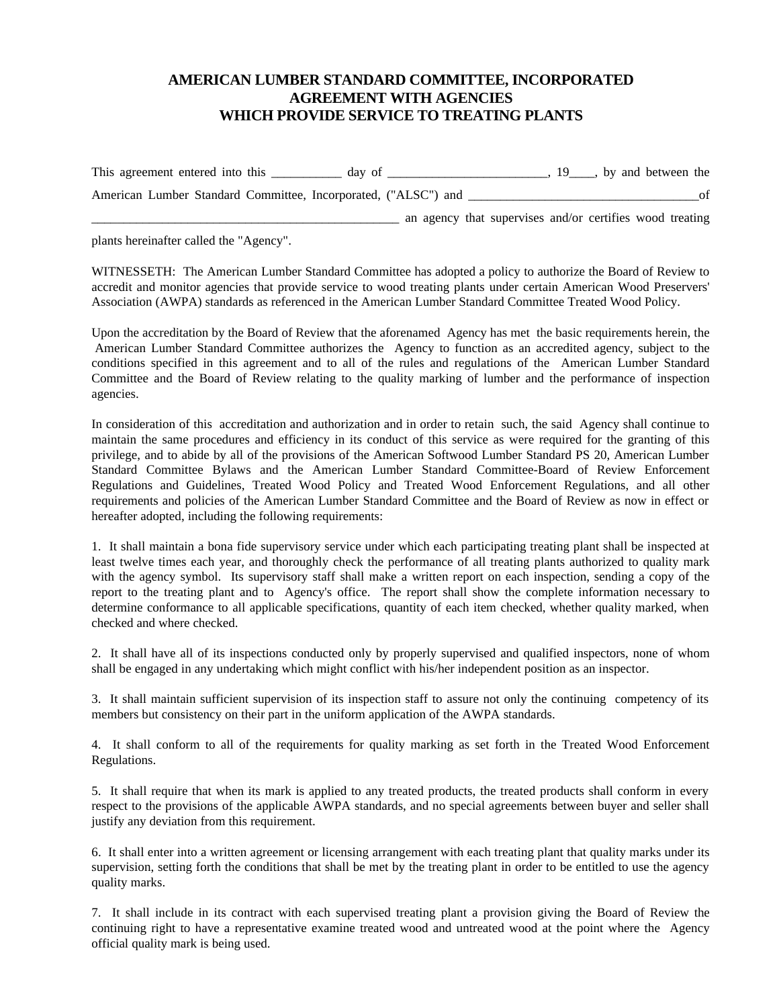## **AMERICAN LUMBER STANDARD COMMITTEE, INCORPORATED AGREEMENT WITH AGENCIES WHICH PROVIDE SERVICE TO TREATING PLANTS**

This agreement entered into this \_\_\_\_\_\_\_\_\_ day of \_\_\_\_\_\_\_\_\_\_\_\_\_\_\_\_\_\_\_\_, 19\_\_\_, by and between the American Lumber Standard Committee, Incorporated, ("ALSC") and of

an agency that supervises and/or certifies wood treating

plants hereinafter called the "Agency".

WITNESSETH: The American Lumber Standard Committee has adopted a policy to authorize the Board of Review to accredit and monitor agencies that provide service to wood treating plants under certain American Wood Preservers' Association (AWPA) standards as referenced in the American Lumber Standard Committee Treated Wood Policy.

Upon the accreditation by the Board of Review that the aforenamed Agency has met the basic requirements herein, the American Lumber Standard Committee authorizes the Agency to function as an accredited agency, subject to the conditions specified in this agreement and to all of the rules and regulations of the American Lumber Standard Committee and the Board of Review relating to the quality marking of lumber and the performance of inspection agencies.

In consideration of this accreditation and authorization and in order to retain such, the said Agency shall continue to maintain the same procedures and efficiency in its conduct of this service as were required for the granting of this privilege, and to abide by all of the provisions of the American Softwood Lumber Standard PS 20, American Lumber Standard Committee Bylaws and the American Lumber Standard Committee-Board of Review Enforcement Regulations and Guidelines, Treated Wood Policy and Treated Wood Enforcement Regulations, and all other requirements and policies of the American Lumber Standard Committee and the Board of Review as now in effect or hereafter adopted, including the following requirements:

1. It shall maintain a bona fide supervisory service under which each participating treating plant shall be inspected at least twelve times each year, and thoroughly check the performance of all treating plants authorized to quality mark with the agency symbol. Its supervisory staff shall make a written report on each inspection, sending a copy of the report to the treating plant and to Agency's office. The report shall show the complete information necessary to determine conformance to all applicable specifications, quantity of each item checked, whether quality marked, when checked and where checked.

2. It shall have all of its inspections conducted only by properly supervised and qualified inspectors, none of whom shall be engaged in any undertaking which might conflict with his/her independent position as an inspector.

3. It shall maintain sufficient supervision of its inspection staff to assure not only the continuing competency of its members but consistency on their part in the uniform application of the AWPA standards.

4. It shall conform to all of the requirements for quality marking as set forth in the Treated Wood Enforcement Regulations.

5. It shall require that when its mark is applied to any treated products, the treated products shall conform in every respect to the provisions of the applicable AWPA standards, and no special agreements between buyer and seller shall justify any deviation from this requirement.

6. It shall enter into a written agreement or licensing arrangement with each treating plant that quality marks under its supervision, setting forth the conditions that shall be met by the treating plant in order to be entitled to use the agency quality marks.

7. It shall include in its contract with each supervised treating plant a provision giving the Board of Review the continuing right to have a representative examine treated wood and untreated wood at the point where the Agency official quality mark is being used.